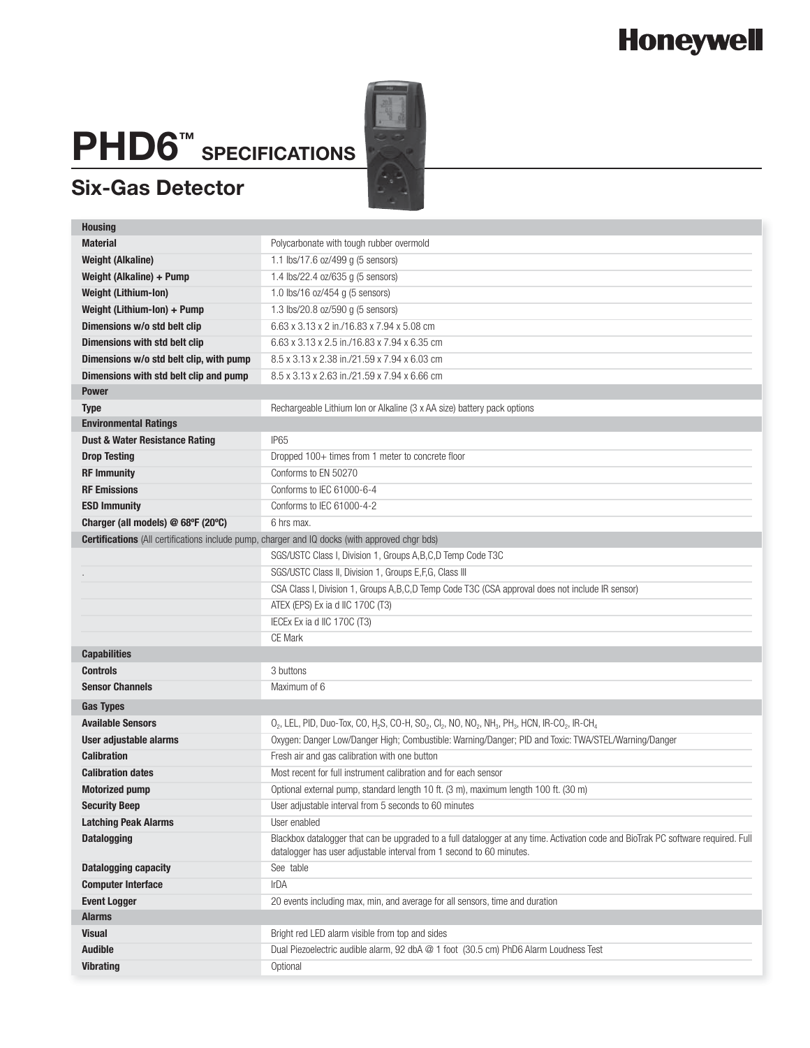# **Honeywell**

# **PHD6™ SPECIFICATIONS**

#### **Six-Gas Detector**

| <b>Housing</b>                                                                                        |                                                                                                                                                                                                           |  |  |  |  |  |  |  |
|-------------------------------------------------------------------------------------------------------|-----------------------------------------------------------------------------------------------------------------------------------------------------------------------------------------------------------|--|--|--|--|--|--|--|
| <b>Material</b>                                                                                       | Polycarbonate with tough rubber overmold                                                                                                                                                                  |  |  |  |  |  |  |  |
| <b>Weight (Alkaline)</b>                                                                              | 1.1 lbs/17.6 oz/499 q (5 sensors)                                                                                                                                                                         |  |  |  |  |  |  |  |
| Weight (Alkaline) + Pump                                                                              | 1.4 lbs/22.4 oz/635 g (5 sensors)                                                                                                                                                                         |  |  |  |  |  |  |  |
| <b>Weight (Lithium-lon)</b>                                                                           | 1.0 lbs/16 oz/454 g (5 sensors)                                                                                                                                                                           |  |  |  |  |  |  |  |
| Weight (Lithium-Ion) + Pump                                                                           | 1.3 lbs/20.8 oz/590 g (5 sensors)                                                                                                                                                                         |  |  |  |  |  |  |  |
| Dimensions w/o std belt clip                                                                          | 6.63 x 3.13 x 2 in./16.83 x 7.94 x 5.08 cm                                                                                                                                                                |  |  |  |  |  |  |  |
| Dimensions with std belt clip                                                                         | 6.63 x 3.13 x 2.5 in./16.83 x 7.94 x 6.35 cm                                                                                                                                                              |  |  |  |  |  |  |  |
| Dimensions w/o std belt clip, with pump                                                               | 8.5 x 3.13 x 2.38 in./21.59 x 7.94 x 6.03 cm                                                                                                                                                              |  |  |  |  |  |  |  |
| Dimensions with std belt clip and pump                                                                | 8.5 x 3.13 x 2.63 in./21.59 x 7.94 x 6.66 cm                                                                                                                                                              |  |  |  |  |  |  |  |
| <b>Power</b>                                                                                          |                                                                                                                                                                                                           |  |  |  |  |  |  |  |
| <b>Type</b>                                                                                           | Rechargeable Lithium Ion or Alkaline (3 x AA size) battery pack options                                                                                                                                   |  |  |  |  |  |  |  |
| <b>Environmental Ratings</b>                                                                          |                                                                                                                                                                                                           |  |  |  |  |  |  |  |
| <b>Dust &amp; Water Resistance Rating</b>                                                             | <b>IP65</b>                                                                                                                                                                                               |  |  |  |  |  |  |  |
| <b>Drop Testing</b>                                                                                   | Dropped 100+ times from 1 meter to concrete floor                                                                                                                                                         |  |  |  |  |  |  |  |
| <b>RF Immunity</b>                                                                                    | Conforms to EN 50270                                                                                                                                                                                      |  |  |  |  |  |  |  |
| <b>RF Emissions</b>                                                                                   | Conforms to IEC 61000-6-4                                                                                                                                                                                 |  |  |  |  |  |  |  |
| <b>ESD Immunity</b>                                                                                   | Conforms to IEC 61000-4-2                                                                                                                                                                                 |  |  |  |  |  |  |  |
| Charger (all models) @ 68°F (20°C)                                                                    | 6 hrs max.                                                                                                                                                                                                |  |  |  |  |  |  |  |
| <b>Certifications</b> (All certifications include pump, charger and IQ docks (with approved chgr bds) |                                                                                                                                                                                                           |  |  |  |  |  |  |  |
|                                                                                                       | SGS/USTC Class I, Division 1, Groups A, B, C, D Temp Code T3C                                                                                                                                             |  |  |  |  |  |  |  |
|                                                                                                       | SGS/USTC Class II, Division 1, Groups E,F,G, Class III                                                                                                                                                    |  |  |  |  |  |  |  |
|                                                                                                       | CSA Class I, Division 1, Groups A,B,C,D Temp Code T3C (CSA approval does not include IR sensor)                                                                                                           |  |  |  |  |  |  |  |
|                                                                                                       | ATEX (EPS) Ex ia d IIC 170C (T3)                                                                                                                                                                          |  |  |  |  |  |  |  |
|                                                                                                       | IECEx Ex ia d IIC 170C (T3)                                                                                                                                                                               |  |  |  |  |  |  |  |
|                                                                                                       | <b>CE Mark</b>                                                                                                                                                                                            |  |  |  |  |  |  |  |
| <b>Capabilities</b>                                                                                   |                                                                                                                                                                                                           |  |  |  |  |  |  |  |
| <b>Controls</b>                                                                                       | 3 buttons                                                                                                                                                                                                 |  |  |  |  |  |  |  |
| <b>Sensor Channels</b>                                                                                | Maximum of 6                                                                                                                                                                                              |  |  |  |  |  |  |  |
| <b>Gas Types</b>                                                                                      |                                                                                                                                                                                                           |  |  |  |  |  |  |  |
| <b>Available Sensors</b>                                                                              | $O_2$ , LEL, PID, Duo-Tox, CO, H <sub>2</sub> S, CO-H, SO <sub>2</sub> , Cl <sub>2</sub> , NO, NO <sub>2</sub> , NH <sub>3</sub> , PH <sub>3</sub> , HCN, IR-CO <sub>2</sub> , IR-CH <sub>4</sub>         |  |  |  |  |  |  |  |
| User adjustable alarms                                                                                | Oxygen: Danger Low/Danger High; Combustible: Warning/Danger; PID and Toxic: TWA/STEL/Warning/Danger                                                                                                       |  |  |  |  |  |  |  |
| <b>Calibration</b>                                                                                    | Fresh air and gas calibration with one button                                                                                                                                                             |  |  |  |  |  |  |  |
| <b>Calibration dates</b>                                                                              | Most recent for full instrument calibration and for each sensor                                                                                                                                           |  |  |  |  |  |  |  |
| <b>Motorized pump</b>                                                                                 | Optional external pump, standard length 10 ft. (3 m), maximum length 100 ft. (30 m)                                                                                                                       |  |  |  |  |  |  |  |
| <b>Security Beep</b>                                                                                  | User adjustable interval from 5 seconds to 60 minutes                                                                                                                                                     |  |  |  |  |  |  |  |
| <b>Latching Peak Alarms</b>                                                                           | User enabled                                                                                                                                                                                              |  |  |  |  |  |  |  |
| <b>Datalogging</b>                                                                                    | Blackbox datalogger that can be upgraded to a full datalogger at any time. Activation code and BioTrak PC software required. Full<br>datalogger has user adjustable interval from 1 second to 60 minutes. |  |  |  |  |  |  |  |
| <b>Datalogging capacity</b>                                                                           | See table                                                                                                                                                                                                 |  |  |  |  |  |  |  |
| <b>Computer Interface</b>                                                                             | IrDA                                                                                                                                                                                                      |  |  |  |  |  |  |  |
| <b>Event Logger</b>                                                                                   | 20 events including max, min, and average for all sensors, time and duration                                                                                                                              |  |  |  |  |  |  |  |
| Alarms                                                                                                |                                                                                                                                                                                                           |  |  |  |  |  |  |  |
| <b>Visual</b>                                                                                         | Bright red LED alarm visible from top and sides                                                                                                                                                           |  |  |  |  |  |  |  |
| <b>Audible</b>                                                                                        | Dual Piezoelectric audible alarm, 92 dbA @ 1 foot (30.5 cm) PhD6 Alarm Loudness Test                                                                                                                      |  |  |  |  |  |  |  |
| <b>Vibrating</b>                                                                                      | Optional                                                                                                                                                                                                  |  |  |  |  |  |  |  |